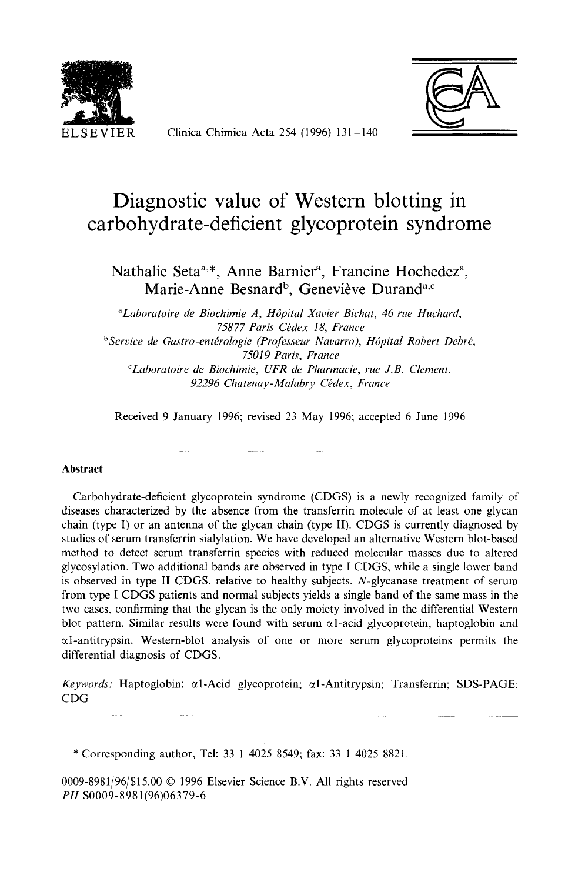

ELSEVIER Clinica Chimica Acta 254 (1996) 131-140



# **Diagnostic value of Western blotting in carbohydrate-deficient glycoprotein syndrome**

Nathalie Seta<sup>a,\*</sup>, Anne Barnier<sup>a</sup>, Francine Hochedez<sup>a</sup>, Marie-Anne Besnard<sup>b</sup>, Geneviève Durand<sup>a,c</sup>

*"Laboratoire de Biochimie A, H6pital Xavier Bichat, 46 rue Huchard,*  75877 Paris Cédex 18, France <sup>b</sup>Service de Gastro-entérologie (Professeur Navarro), Hôpital Robert Debré, *75019 Paris, France CLaboratoire de Biochimie, UFR de Pharmacie, rue J.B. Clement,*  92296 Chatenay-Malabry Cédex, France

Received 9 January 1996; revised 23 May 1996; accepted 6 June 1996

#### **Abstract**

Carbohydrate-deficient glycoprotein syndrome (CDGS) is a newly recognized family of diseases characterized by the absence from the transferrin molecule of at least one glycan chain (type I) or an antenna of the glycan chain (type II). CDGS is currently diagnosed by studies of serum transferrin sialylation. We have developed an alternative Western blot-based method to detect serum transferrin species with reduced molecular masses due to altered glycosylation. Two additional bands are observed in type I CDGS, while a single lower band is observed in type II CDGS, relative to healthy subjects. N-glycanase treatment of serum from type I CDGS patients and normal subjects yields a single band of the same mass in the two cases, confirming that the glycan is the only moiety involved in the differential Western blot pattern. Similar results were found with serum  $\alpha$ l-acid glycoprotein, haptoglobin and  $\alpha$ l-antitrypsin. Western-blot analysis of one or more serum glycoproteins permits the differential diagnosis of CDGS.

*Keywords:* Haptoglobin; α1-Acid glycoprotein; α1-Antitrypsin; Transferrin; SDS-PAGE; CDG

\* Corresponding author, Tel: 33 1 4025 8549; fax: 33 1 4025 8821.

0009-8981/96/\$15.00 © 1996 Elsevier Science B.V. All rights reserved *PH* S0009-8981(96)06379-6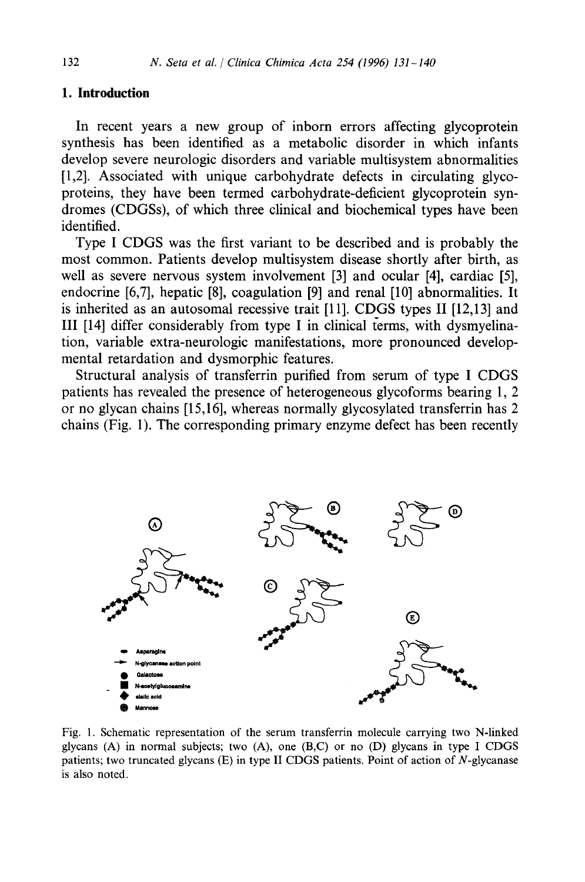## **I. Introduction**

In recent years a new group of inborn errors affecting glycoprotein synthesis has been identified as a metabolic disorder in which infants develop severe neurologic disorders and variable multisystem abnormalities [1,2]. Associated with unique carbohydrate defects in circulating glycoproteins, they have been termed carbohydrate-deficient glycoprotein syndromes (CDGSs), of which three clinical and biochemical types have been identified.

Type I CDGS was the first variant to be described and is probably the most common. Patients develop multisystem disease shortly after birth, as well as severe nervous system involvement [3] and ocular [4], cardiac [5], endocrine [6,7], hepatic [8], coagulation [9] and renal [10] abnormalities. It is inherited as an autosomal recessive trait [11]. CDGS types II [12,13] and III [14] differ considerably from type I in clinical (erms, with dysmyelination, variable extra-neurologic manifestations, more pronounced developmental retardation and dysmorphic features.

Structural analysis of transferrin purified from serum of type I CDGS patients has revealed the presence of heterogeneous glycoforms bearing 1, 2 or no glycan chains [15,16], whereas normally glycosylated transferrin has 2 chains (Fig. 1). The corresponding primary enzyme defect has been recently



Fig. 1. Schematic representation of the serum transferrin molecule carrying two N-linked glycans  $(A)$  in normal subjects; two  $(A)$ , one  $(B,C)$  or no  $(D)$  glycans in type I CDGS patients; two truncated glycans (E) in type II CDGS patients. Point of action of N-glycanase is also noted.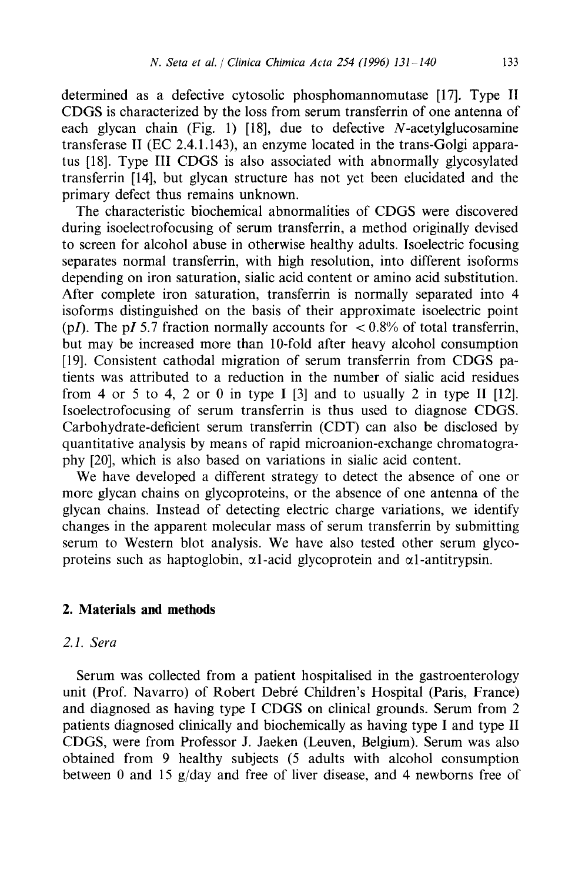determined as a defective cytosolic phosphomannomutase [17]. Type II CDGS is characterized by the loss from serum transferrin of one antenna of each glycan chain (Fig. 1) [18], due to defective  $N$ -acetylglucosamine transferase II (EC 2.4.1.143), an enzyme located in the trans-Golgi apparatus [18]. Type III CDGS is also associated with abnormally glycosylated transferrin [14], but glycan structure has not yet been elucidated and the primary defect thus remains unknown.

The characteristic biochemical abnormalities of CDGS were discovered during isoelectrofocusing of serum transferrin, a method originally devised to screen for alcohol abuse in otherwise healthy adults. Isoelectric focusing separates normal transferrin, with high resolution, into different isoforms depending on iron saturation, sialic acid content or amino acid substitution. After complete iron saturation, transferrin is normally separated into 4 isoforms distinguished on the basis of their approximate isoelectric point (p*I*). The p*I* 5.7 fraction normally accounts for  $\lt 0.8\%$  of total transferrin, but may be increased more than 10-fold after heavy alcohol consumption [19]. Consistent cathodal migration of serum transferrin from CDGS patients was attributed to a reduction in the number of sialic acid residues from 4 or 5 to 4, 2 or 0 in type I  $[3]$  and to usually 2 in type II  $[12]$ . Isoelectrofocusing of serum transferrin is thus used to diagnose CDGS. Carbohydrate-deficient serum transferrin (CDT) can also be disclosed by quantitative analysis by means of rapid microanion-exchange chromatography [20], which is also based on variations in sialic acid content.

We have developed a different strategy to detect the absence of one or more glycan chains on glycoproteins, or the absence of one antenna of the glycan chains. Instead of detecting electric charge variations, we identify changes in the apparent molecular mass of serum transferrin by submitting serum to Western blot analysis. We have also tested other serum glycoproteins such as haptoglobin,  $\alpha$ l-acid glycoprotein and  $\alpha$ l-antitrypsin.

## **2. Materials and methods**

## *2. I. Sera*

Serum was collected from a patient hospitalised in the gastroenterology unit (Prof. Navarro) of Robert Debré Children's Hospital (Paris, France) and diagnosed as having type I CDGS on clinical grounds. Serum from 2 patients diagnosed clinically and biochemically as having type I and type II CDGS, were from Professor J. Jaeken (Leuven, Belgium). Serum was also obtained from 9 healthy subjects (5 adults with alcohol consumption between 0 and 15 g/day and free of liver disease, and 4 newborns free of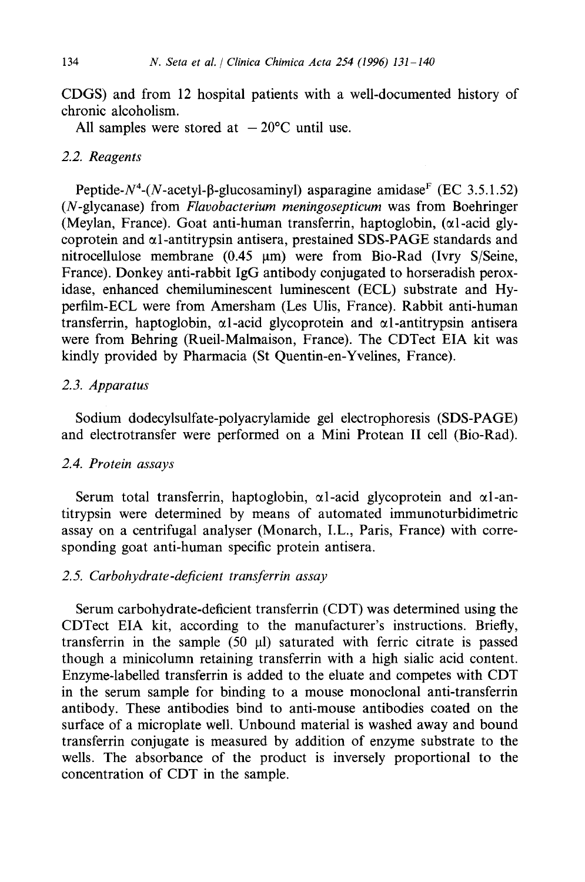CDGS) and from 12 hospital patients with a well-documented history of chronic alcoholism.

All samples were stored at  $-20^{\circ}$ C until use.

### *2.2. Reagents*

Peptide- $N^4$ -(N-acetyl- $\beta$ -glucosaminyl) asparagine amidase<sup>F</sup> (EC 3.5.1.52) (N-glycanase) from *Flavobaeterium meningosepticum* was from Boehringer (Meylan, France). Goat anti-human transferrin, haptoglobin,  $(\alpha 1$ -acid glycoprotein and  $\alpha$ l-antitrypsin antisera, prestained SDS-PAGE standards and nitrocellulose membrane  $(0.45 \mu m)$  were from Bio-Rad (Ivry S/Seine, France). Donkey anti-rabbit IgG antibody conjugated to horseradish peroxidase, enhanced chemiluminescent luminescent (ECL) substrate and Hyperfilm-ECL were from Amersham (Les Ulis, France). Rabbit anti-human transferrin, haptoglobin,  $\alpha$ 1-acid glycoprotein and  $\alpha$ 1-antitrypsin antisera were from Behring (Rueil-Malmaison, France). The CDTect EIA kit was kindly provided by Pharmacia (St Quentin-en-Yvelines, France).

## *2.3. Apparatus*

Sodium dodecylsulfate-polyacrylamide gel electrophoresis (SDS-PAGE) and electrotransfer were performed on a Mini Protean II cell (Bio-Rad).

## *2.4. Protein assays*

Serum total transferrin, haptoglobin,  $\alpha$ l-acid glycoprotein and  $\alpha$ l-antitrypsin were determined by means of automated immunoturbidimetric assay on a centrifugal analyser (Monarch, I.L., Paris, France) with corresponding goat anti-human specific protein antisera.

## *2.5. Carbohydrate-deficient transferrin assay*

Serum carbohydrate-deficient transferrin (CDT) was determined using the CDTect EIA kit, according to the manufacturer's instructions. Briefly, transferrin in the sample  $(50 \text{ µ})$  saturated with ferric citrate is passed though a minicolumn retaining transferrin with a high sialic acid content. Enzyme-labelled transferrin is added to the eluate and competes with CDT in the serum sample for binding to a mouse monoclonal anti-transferrin antibody. These antibodies bind to anti-mouse antibodies coated on the surface of a microplate well. Unbound material is washed away and bound transferrin conjugate is measured by addition of enzyme substrate to the wells. The absorbance of the product is inversely proportional to the concentration of CDT in the sample.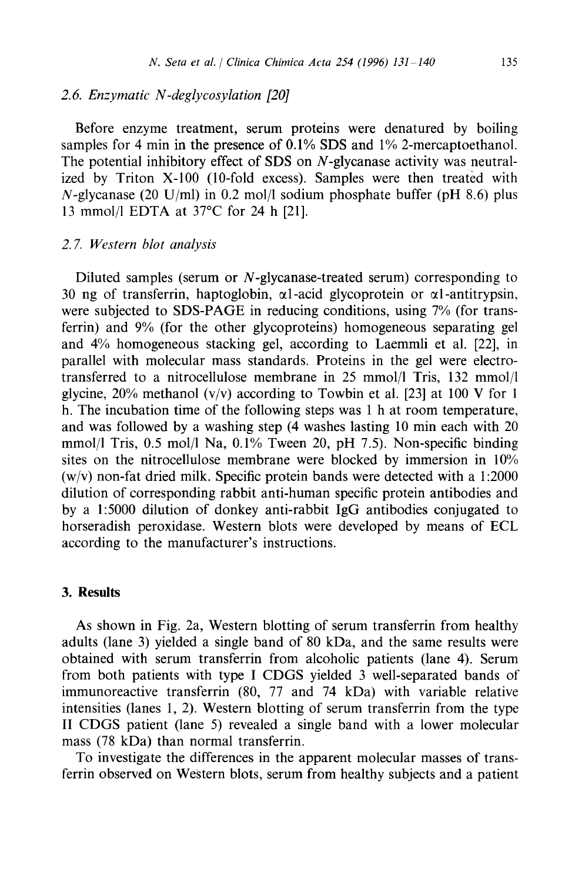## *2.6. Enzymatic N-deglycosylation [20]*

Before enzyme treatment, serum proteins were denatured by boiling samples for 4 min in the presence of 0.1% SDS and 1% 2-mercaptoethanol. The potential inhibitory effect of SDS on N-glycanase activity was neutralized by Triton X-100 (10-fold excess). Samples were then treated with  $N$ -glycanase (20 U/ml) in 0.2 mol/l sodium phosphate buffer (pH 8.6) plus 13 mmol/1 EDTA at 37°C for 24 h [21].

#### *2. 7. Western blot analysis*

Diluted samples (serum or N-glycanase-treated serum) corresponding to 30 ng of transferrin, haptoglobin,  $\alpha$ 1-acid glycoprotein or  $\alpha$ 1-antitrypsin, were subjected to SDS-PAGE in reducing conditions, using 7% (for transferrin) and 9% (for the other glycoproteins) homogeneous separating gel and 4% homogeneous stacking gel, according to Laemmli et al. [22], in parallel with molecular mass standards. Proteins in the gel were electrotransferred to a nitrocellulose membrane in 25 mmol/1 Tris, 132 mmol/1 glycine,  $20\%$  methanol (v/v) according to Towbin et al. [23] at 100 V for 1 h. The incubation time of the following steps was 1 h at room temperature, and was followed by a washing step (4 washes lasting 10 min each with 20 mmol/1 Tris, 0.5 mol/1 Na, 0.1% Tween 20, pH 7.5). Non-specific binding sites on the nitrocellulose membrane were blocked by immersion in 10%  $(w/v)$  non-fat dried milk. Specific protein bands were detected with a 1:2000 dilution of corresponding rabbit anti-human specific protein antibodies and by a 1:5000 dilution of donkey anti-rabbit IgG antibodies conjugated to horseradish peroxidase. Western blots were developed by means of ECL according to the manufacturer's instructions.

#### **3. Results**

As shown in Fig. 2a, Western blotting of serum transferrin from healthy adults (lane 3) yielded a single band of 80 kDa, and the same results were obtained with serum transferrin from alcoholic patients (lane 4). Serum from both patients with type I CDGS yielded 3 well-separated bands of immunoreactive transferrin (80, 77 and 74 kDa) with variable relative intensities (lanes 1, 2). Western blotting of serum transferrin from the type II CDGS patient (lane 5) revealed a single band with a lower molecular mass (78 kDa) than normal transferrin.

To investigate the differences in the apparent molecular masses of transferrin observed on Western blots, serum from healthy subjects and a patient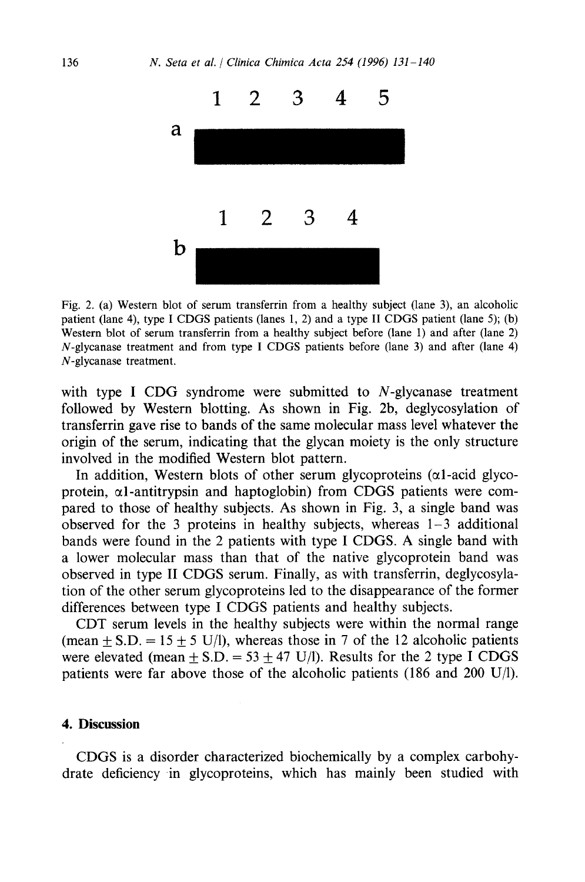

Fig. 2. (a) Western blot of serum transferrin from a healthy subject (lane 3), an alcoholic patient (lane 4), type I CDGS patients (lanes 1, 2) and a type II CDGS patient (lane 5); (b) Western blot of serum transferrin from a healthy subject before (lane 1) and after (lane 2) N-glycanase treatment and from type I CDGS patients before (lane 3) and after (lane 4) N-glycanase treatment.

with type I CDG syndrome were submitted to  $N$ -glycanase treatment followed by Western blotting. As shown in Fig. 2b, deglycosylation of transferrin gave rise to bands of the same molecular mass level whatever the origin of the serum, indicating that the glycan moiety is the only structure involved in the modified Western blot pattern.

In addition, Western blots of other serum glycoproteins ( $\alpha$ l-acid glycoprotein,  $\alpha$ l-antitrypsin and haptoglobin) from CDGS patients were compared to those of healthy subjects. As shown in Fig. 3, a single band was observed for the 3 proteins in healthy subjects, whereas  $1-3$  additional bands were found in the 2 patients with type I CDGS. A single band with a lower molecular mass than that of the native glycoprotein band was observed in type II CDGS serum. Finally, as with transferrin, deglycosylation of the other serum glycoproteins led to the disappearance of the former differences between type I CDGS patients and healthy subjects.

CDT serum levels in the healthy subjects were within the normal range (mean  $\pm$  S.D. = 15  $\pm$  5 U/l), whereas those in 7 of the 12 alcoholic patients were elevated (mean  $+ S.D. = 53 \pm 47 \text{ U/l}$ ). Results for the 2 type I CDGS patients were far above those of the alcoholic patients (186 and 200 U/l).

## **4. Discussion**

CDGS is a disorder characterized biochemically by a complex carbohydrate deficiency in glycoproteins, which has mainly been studied with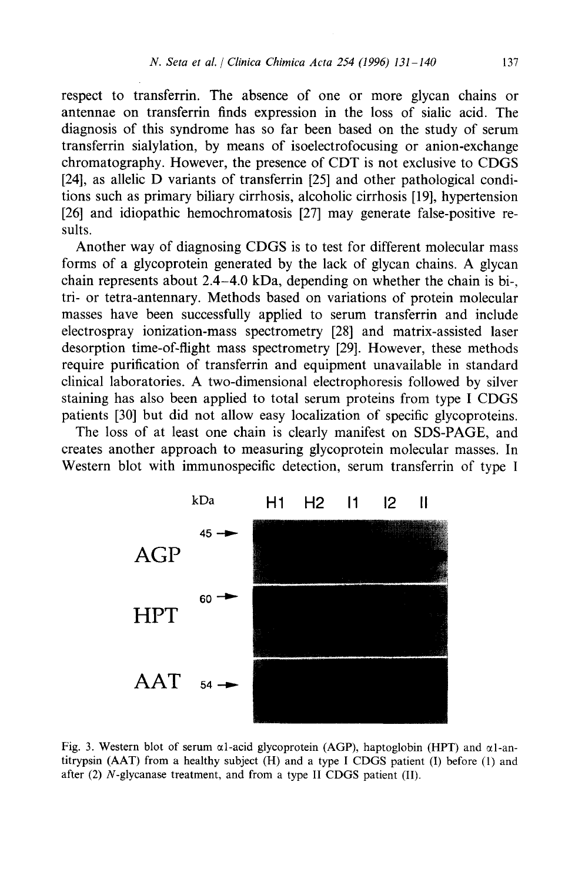respect to transferrin. The absence of one or more glycan chains or antennae on transferrin finds expression in the loss of sialic acid. The diagnosis of this syndrome has so far been based on the study of serum transferrin sialylation, by means of isoelectrofocusing or anion-exchange chromatography. However, the presence of CDT is not exclusive to CDGS [24], as allelic D variants of transferrin [25] and other pathological conditions such as primary biliary cirrhosis, alcoholic cirrhosis [19], hypertension [26] and idiopathic hemochromatosis [27] may generate false-positive results.

Another way of diagnosing CDGS is to test for different molecular mass forms of a glycoprotein generated by the lack of glycan chains. A glycan chain represents about 2.4-4.0 kDa, depending on whether the chain is bi-, tri- or tetra-antennary. Methods based on variations of protein molecular masses have been successfully applied to serum transferrin and include electrospray ionization-mass spectrometry [28] and matrix-assisted laser desorption time-of-flight mass spectrometry [29]. However, these methods require purification of transferrin and equipment unavailable in standard clinical laboratories. A two-dimensional electrophoresis followed by silver staining has also been applied to total serum proteins from type I CDGS patients [30] but did not allow easy localization of specific glycoproteins.

The loss of at least one chain is clearly manifest on SDS-PAGE, and creates another approach to measuring glycoprotein molecular masses. In Western blot with immunospecific detection, serum transferrin of type I



Fig. 3. Western blot of serum  $\alpha$ 1-acid glycoprotein (AGP), haptoglobin (HPT) and  $\alpha$ 1-antitrypsin (AAT) from a healthy subject (H) and a type I CDGS patient (I) before (1) and after (2) N-glycanase treatment, and from a type II CDGS patient (II).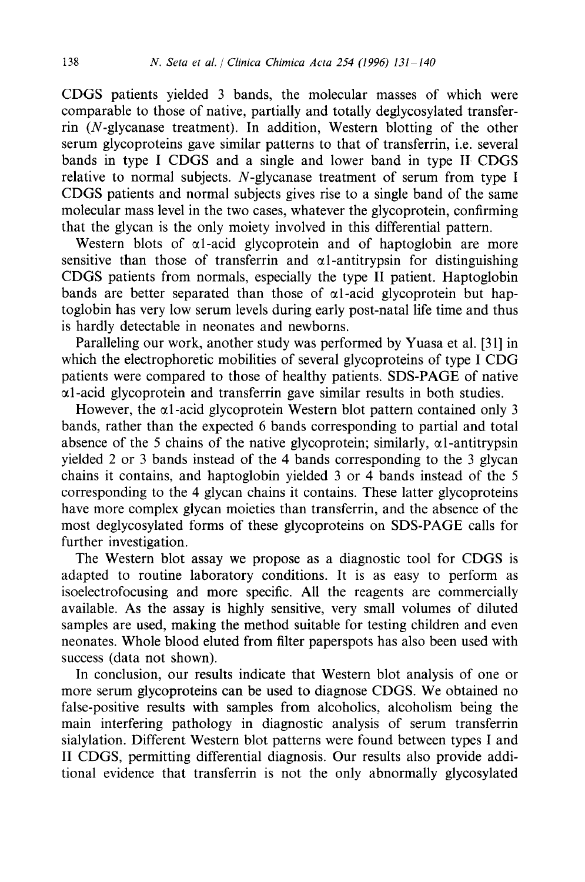CDGS patients yielded 3 bands, the molecular masses of which were comparable to those of native, partially and totally deglycosylated transferrin (N-glycanase treatment). In addition, Western blotting of the other serum glycoproteins gave similar patterns to that of transferrin, i.e. several bands in type I CDGS and a single and lower band in type II CDGS relative to normal subjects. N-glycanase treatment of serum from type I CDGS patients and normal subjects gives rise to a single band of the same molecular mass level in the two cases, whatever the glycoprotein, confirming that the glycan is the only moiety involved in this differential pattern.

Western blots of  $\alpha$ 1-acid glycoprotein and of haptoglobin are more sensitive than those of transferrin and  $\alpha$ l-antitrypsin for distinguishing CDGS patients from normals, especially the type II patient. Haptoglobin bands are better separated than those of  $\alpha$ l-acid glycoprotein but haptoglobin has very low serum levels during early post-natal life time and thus is hardly detectable in neonates and newborns.

Paralleling our work, another study was performed by Yuasa et al. [31] in which the electrophoretic mobilities of several glycoproteins of type I CDG patients were compared to those of healthy patients. SDS-PAGE of native  $\alpha$ l-acid glycoprotein and transferrin gave similar results in both studies.

However, the  $\alpha$ 1-acid glycoprotein Western blot pattern contained only 3 bands, rather than the expected 6 bands corresponding to partial and total absence of the 5 chains of the native glycoprotein; similarly,  $\alpha$ l-antitrypsin yielded 2 or 3 bands instead of the 4 bands corresponding to the 3 glycan chains it contains, and haptoglobin yielded 3 or 4 bands instead of the 5 corresponding to the 4 glycan chains it contains. These latter glycoproteins have more complex glycan moieties than transferrin, and the absence of the most deglycosylated forms of these glycoproteins on SDS-PAGE calls for further investigation.

The Western blot assay we propose as a diagnostic tool for CDGS is adapted to routine laboratory conditions. It is as easy to perform as isoelectrofocusing and more specific. All the reagents are commercially available. As the assay is highly sensitive, very small volumes of diluted samples are used, making the method suitable for testing children and even neonates. Whole blood eluted from filter paperspots has also been used with success (data not shown).

In conclusion, our results indicate that Western blot analysis of one or more serum glycoproteins can be used to diagnose CDGS. We obtained no false-positive results with samples from alcoholics, alcoholism being the main interfering pathology in diagnostic analysis of serum transferrin sialylation. Different Western blot patterns were found between types I and II CDGS, permitting differential diagnosis. Our results also provide additional evidence that transferrin is not the only abnormally glycosylated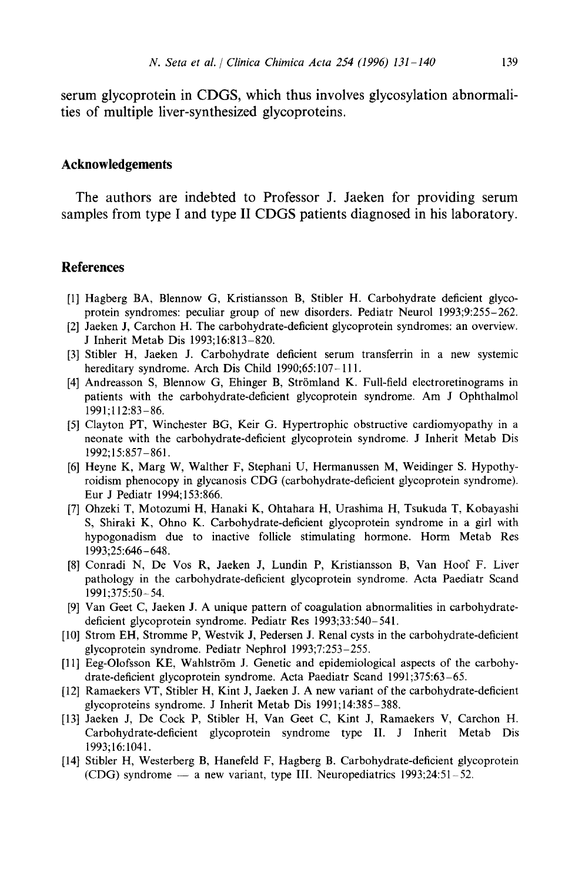serum glycoprotein in CDGS, which thus involves glycosylation abnormalities of multiple liver-synthesized glycoproteins.

### **Acknowledgements**

The authors are indebted to Professor J. Jaeken for providing serum samples from type I and type II CDGS patients diagnosed in his laboratory.

### **References**

- [1] Hagberg BA, Blennow G, Kristiansson B, Stibler H. Carbohydrate deficient glycoprotein syndromes: peculiar group of new disorders. Pediatr Neurol 1993;9:255-262.
- [2] Jaeken J, Carchon H. The carbohydrate-deficient glycoprotein syndromes: an overview. J Inherit Metab Dis 1993;16:813-820.
- [3] Stibler H, Jaeken J. Carbohydrate deficient serum transferrin in a new systemic hereditary syndrome. Arch Dis Child 1990;65:107-111.
- [4] Andreasson S, Blennow G, Ehinger B, Strömland K. Full-field electroretinograms in patients with the carbohydrate-deficient glycoprotein syndrome. Am J Ophthalmol 1991;112:83-86.
- [5] Clayton PT, Winchester BG, Keir G. Hypertrophic obstructive cardiomyopathy in a neonate with the carbohydrate-deficient glycoprotein syndrome. J Inherit Metab Dis 1992;15:857-861.
- [6] Heyne K, Marg W, Walther F, Stephani U, Hermanussen M, Weidinger S. Hypothyroidism phenocopy in glycanosis CDG (carbohydrate-deficient glycoprotein syndrome). Eur J Pediatr 1994;153:866.
- [7] Ohzeki T, Motozumi H, Hanaki K, Ohtabara H, Urashima H, Tsukuda T, Kobayashi S, Shiraki K, Ohno K. Carbohydrate-deficient glycoprotein syndrome in a girl with hypogonadism due to inactive follicle stimulating hormone. Horm Metab Res 1993;25:646-648.
- [8] Conradi N, De Vos R, Jaeken J, Lundin P, Kristiansson B, Van Hoof F. Liver pathology in the carbohydrate-deficient glycoprotein syndrome. Acta Paediatr Scand 1991;375:50-54.
- [9] Van Geet C, Jaeken J. A unique pattern of coagulation abnormalities in carbohydratedeficient glycoprotein syndrome. Pediatr Res 1993;33:540-541.
- [10] Strom EH, Stromme P, Westvik J, Pedersen J. Renal cysts in the carbohydrate-deficient glycoprotein syndrome. Pediatr Nephrol 1993;7:253-255.
- [11] Eeg-Olofsson KE, Wahlström J. Genetic and epidemiological aspects of the carbohydrate-deficient glycoprotein syndrome. Acta Paediatr Scand 1991;375:63-65.
- [12] Ramaekers VT, Stibler H, Kint J, Jaeken J. A new variant of the carbohydrate-deficient glycoproteins syndrome. J Inherit Metab Dis 1991;14:385-388.
- [13] Jaeken J, De Cock P, Stibler H, Van Geet C, Kint J, Ramaekers V, Carchon H. Carbohydrate-deficient glycoprotein syndrome type II. J Inherit Metab Dis 1993;16:1041.
- [14] Stibler H, Westerberg B, Hanefeld F, Hagberg B. Carbohydrate-deficient glycoprotein (CDG) syndrome  $-$  a new variant, type III. Neuropediatrics 1993;24:51-52.